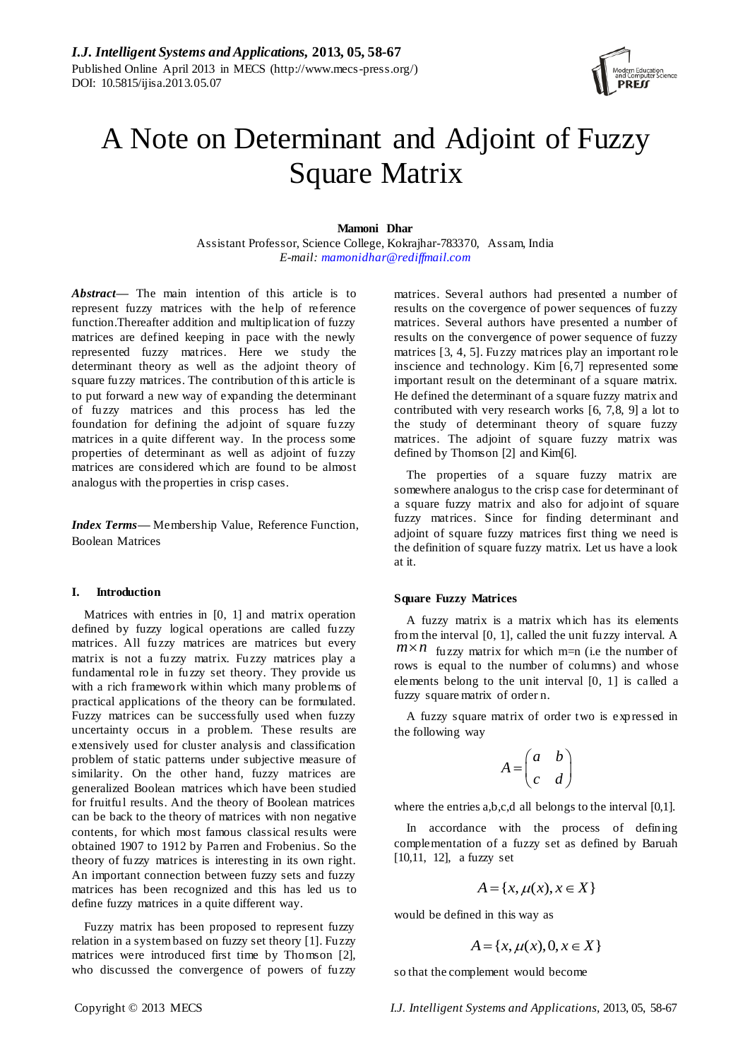

# A Note on Determinant and Adjoint of Fuzzy Square Matrix

#### **Mamoni Dhar**

Assistant Professor, Science College, Kokrajhar-783370, Assam, India *E-mail: mamonidhar@rediffmail.com*

*Abstract—* The main intention of this article is to represent fuzzy matrices with the help of reference function.Thereafter addition and multiplication of fuzzy matrices are defined keeping in pace with the newly represented fuzzy matrices. Here we study the determinant theory as well as the adjoint theory of square fuzzy matrices. The contribution of this article is to put forward a new way of expanding the determinant of fuzzy matrices and this process has led the foundation for defining the adjoint of square fuzzy matrices in a quite different way. In the process some properties of determinant as well as adjoint of fuzzy matrices are considered which are found to be almost analogus with the properties in crisp cases.

*Index Terms***—** Membership Value, Reference Function, Boolean Matrices

#### **I. Introduction**

Matrices with entries in [0, 1] and matrix operation defined by fuzzy logical operations are called fuzzy matrices. All fuzzy matrices are matrices but every matrix is not a fuzzy matrix. Fuzzy matrices play a fundamental role in fuzzy set theory. They provide us with a rich framework within which many problems of practical applications of the theory can be formulated. Fuzzy matrices can be successfully used when fuzzy uncertainty occurs in a problem. These results are extensively used for cluster analysis and classification problem of static patterns under subjective measure of similarity. On the other hand, fuzzy matrices are generalized Boolean matrices which have been studied for fruitful results. And the theory of Boolean matrices can be back to the theory of matrices with non negative contents, for which most famous classical results were obtained 1907 to 1912 by Parren and Frobenius. So the theory of fuzzy matrices is interesting in its own right. An important connection between fuzzy sets and fuzzy matrices has been recognized and this has led us to define fuzzy matrices in a quite different way.

Fuzzy matrix has been proposed to represent fuzzy relation in a system based on fuzzy set theory [1]. Fuzzy matrices were introduced first time by Thomson [2], who discussed the convergence of powers of fuzzy matrices. Several authors had presented a number of results on the covergence of power sequences of fuzzy matrices. Several authors have presented a number of results on the convergence of power sequence of fuzzy matrices [3, 4, 5]. Fuzzy matrices play an important role inscience and technology. Kim [6,7] represented some important result on the determinant of a square matrix. He defined the determinant of a square fuzzy matrix and contributed with very research works [6, 7,8, 9] a lot to the study of determinant theory of square fuzzy matrices. The adjoint of square fuzzy matrix was defined by Thomson [2] and Kim[6].

The properties of a square fuzzy matrix are somewhere analogus to the crisp case for determinant of a square fuzzy matrix and also for adjoint of square fuzzy matrices. Since for finding determinant and adjoint of square fuzzy matrices first thing we need is the definition of square fuzzy matrix. Let us have a look at it.

#### **Square Fuzzy Matrices**

A fuzzy matrix is a matrix which has its elements from the interval [0, 1], called the unit fuzzy interval. A  $m \times n$  fuzzy matrix for which m=n (i.e the number of rows is equal to the number of columns) and whose elements belong to the unit interval [0, 1] is called a fuzzy square matrix of order n.

A fuzzy square matrix of order two is expressed in the following way

$$
A = \begin{pmatrix} a & b \\ c & d \end{pmatrix}
$$

where the entries a,b,c,d all belongs to the interval [0,1].

In accordance with the process of defining complementation of a fuzzy set as defined by Baruah [10,11, 12], a fuzzy set

$$
A = \{x, \mu(x), x \in X\}
$$

would be defined in this way as

$$
A = \{x, \mu(x), 0, x \in X\}
$$

so that the complement would become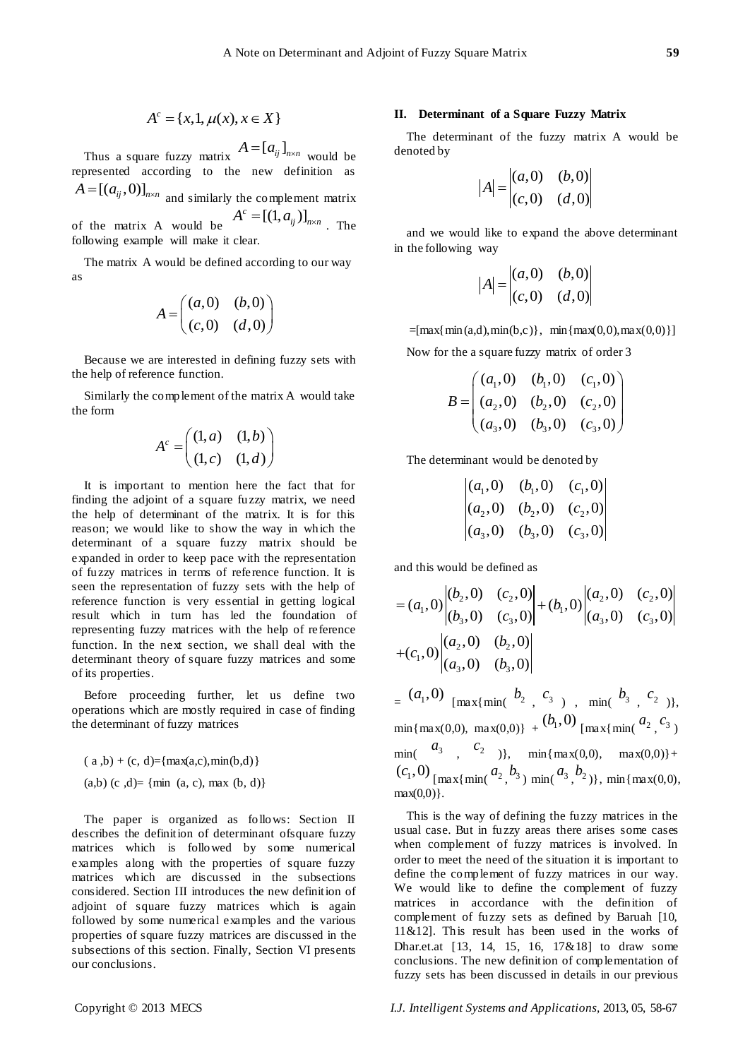$$
A^c = \{x, 1, \mu(x), x \in X\}
$$

Thus a square fuzzy matrix  $A = [a_{ij}]_{n \times n}$  would be represented according to the new definition as  $A = [(a_{ij}, 0)]_{n \times n}$  and similarly the complement matrix

of the matrix A would be  $A^c = [(1, a_{ij})]_{n \times n}$ . The following example will make it clear.

The matrix A would be defined according to our way as

$$
A = \begin{pmatrix} (a,0) & (b,0) \\ (c,0) & (d,0) \end{pmatrix}
$$

Because we are interested in defining fuzzy sets with the help of reference function.

Similarly the complement of the matrix A would take the form

$$
A^c = \begin{pmatrix} (1, a) & (1, b) \\ (1, c) & (1, d) \end{pmatrix}
$$

A  $\pm$   $\left[ (1, \mu)(x), x \in X \right]$ <br>
Thus a sign from A  $\left[ A \right]_{\infty}^{1}$  (i.e.,  $\left[ A \right]_{\infty}^{1}$  (i.e.,  $\left[ A \right]_{\infty}^{1}$  (i.e.,  $\left[ A \right]_{\infty}^{1}$  (i.e.,  $\left[ A \right]_{\infty}^{1}$  (i.e.,  $\left[ A \right]_{\infty}^{1}$  (i.e.,  $\left[ A \right]_{\infty}^{1}$  (i.e. It is important to mention here the fact that for finding the adjoint of a square fuzzy matrix, we need the help of determinant of the matrix. It is for this reason; we would like to show the way in which the determinant of a square fuzzy matrix should be expanded in order to keep pace with the representation of fuzzy matrices in terms of reference function. It is seen the representation of fuzzy sets with the help of reference function is very essential in getting logical result which in turn has led the foundation of representing fuzzy matrices with the help of reference function. In the next section, we shall deal with the determinant theory of square fuzzy matrices and some of its properties.

Before proceeding further, let us define two operations which are mostly required in case of finding the determinant of fuzzy matrices

 $(a, b) + (c, d) = \{ \max(a, c), \min(b, d) \}$  $(a,b)$  (c,d)= {min (a, c), max (b, d)}

The paper is organized as follows: Section II describes the definition of determinant ofsquare fuzzy matrices which is followed by some numerical examples along with the properties of square fuzzy matrices which are discussed in the subsections considered. Section III introduces the new definition of adjoint of square fuzzy matrices which is again followed by some numerical examples and the various properties of square fuzzy matrices are discussed in the subsections of this section. Finally, Section VI presents our conclusions.

#### **II. Determinant of a Square Fuzzy Matrix**

The determinant of the fuzzy matrix A would be denoted by

$$
|A| = \begin{vmatrix} (a,0) & (b,0) \\ (c,0) & (d,0) \end{vmatrix}
$$

and we would like to expand the above determinant in the following way

$$
|A| = \begin{vmatrix} (a,0) & (b,0) \\ (c,0) & (d,0) \end{vmatrix}
$$

 $=$ [max{ min(a,d),min(b,c)}, min{max(0,0),max(0,0)}] Now for the a square fuzzy matrix of order 3

$$
B = \begin{pmatrix} (a_1, 0) & (b_1, 0) & (c_1, 0) \\ (a_2, 0) & (b_2, 0) & (c_2, 0) \\ (a_3, 0) & (b_3, 0) & (c_3, 0) \end{pmatrix}
$$

The determinant would be denoted by

$$
\begin{vmatrix} (a_1, 0) & (b_1, 0) & (c_1, 0) \\ (a_2, 0) & (b_2, 0) & (c_2, 0) \\ (a_3, 0) & (b_3, 0) & (c_3, 0) \end{vmatrix}
$$

and this would be defined as  
\n
$$
= (a_1,0) \begin{vmatrix} (b_2,0) & (c_2,0) \\ (b_3,0) & (c_3,0) \end{vmatrix} + (b_1,0) \begin{vmatrix} (a_2,0) & (c_2,0) \\ (a_3,0) & (c_3,0) \end{vmatrix}
$$
\n
$$
+ (c_1,0) \begin{vmatrix} (a_2,0) & (b_2,0) \\ (a_3,0) & (b_3,0) \end{vmatrix}
$$

 $(a_1, 0)$   $\max\{\min(b_2, c_3), \min(b_3, c_2)\},\$  $\min{\max(0,0), \max(0,0)} + (b_1, 0) \cdot \max{\min(a_2, c_3)}$  $\min($   $a_3$   $,$   $c_2$   $)\},$   $\min{\max(0,0), \max(0,0)}+$  $(c_1, 0)$   $\frac{max}{\min(a_2, b_3)}$   $\min(a_3, b_2)$ ,  $\min\{max(0, 0),\}$  $max(0,0)$ .

This is the way of defining the fuzzy matrices in the usual case. But in fuzzy areas there arises some cases when complement of fuzzy matrices is involved. In order to meet the need of the situation it is important to define the complement of fuzzy matrices in our way. We would like to define the complement of fuzzy matrices in accordance with the definition of complement of fuzzy sets as defined by Baruah [10, 11&12]. This result has been used in the works of Dhar.et.at [13, 14, 15, 16, 17&18] to draw some conclusions. The new definition of complementation of fuzzy sets has been discussed in details in our previous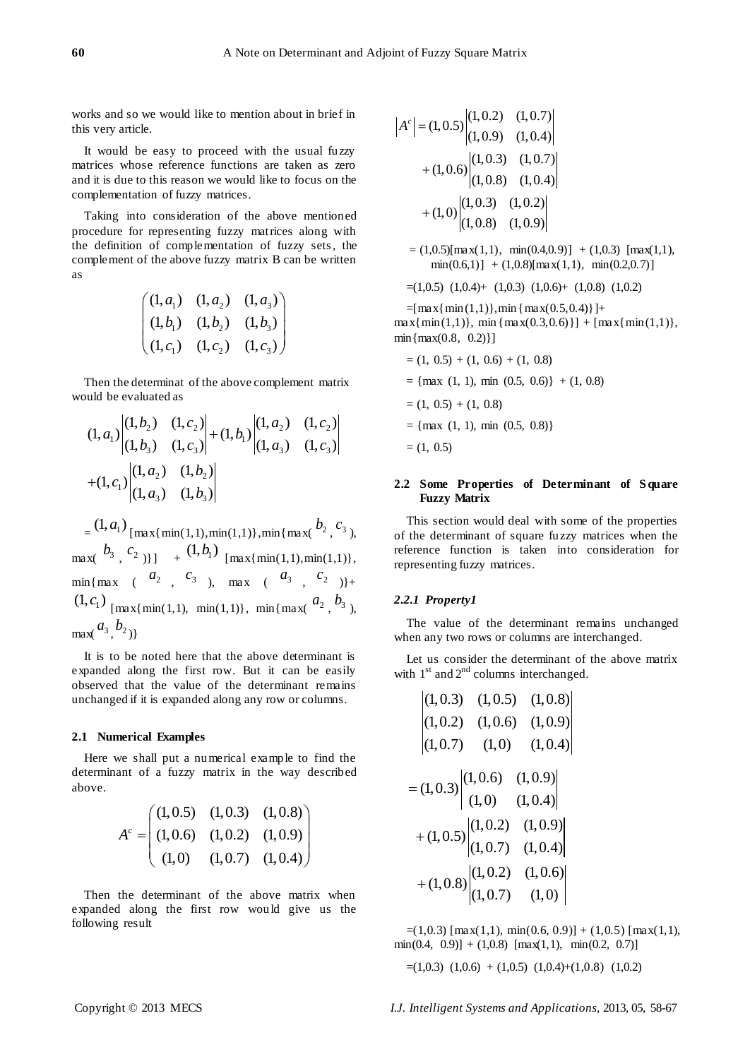works and so we would like to mention about in brief in this very article.

It would be easy to proceed with the usual fuzzy matrices whose reference functions are taken as zero and it is due to this reason we would like to focus on the complementation of fuzzy matrices.

Taking into consideration of the above mentioned procedure for representing fuzzy matrices along with the definition of complementation of fuzzy sets, the complement of the above fuzzy matrix B can be written as

$$
\begin{pmatrix}\n(1, a_1) & (1, a_2) & (1, a_3) \\
(1, b_1) & (1, b_2) & (1, b_3) \\
(1, c_1) & (1, c_2) & (1, c_3)\n\end{pmatrix}
$$

Then the determinat of the above complement matrix would be evaluated as

build be evaluated as

\n
$$
(1, a_1) \begin{vmatrix} (1, b_2) & (1, c_2) \\ (1, b_3) & (1, c_3) \end{vmatrix} + (1, b_1) \begin{vmatrix} (1, a_2) & (1, c_2) \\ (1, a_3) & (1, c_3) \end{vmatrix}
$$
\n
$$
+ (1, c_1) \begin{vmatrix} (1, a_2) & (1, b_2) \\ (1, a_3) & (1, b_3) \end{vmatrix}
$$

 $=\frac{(1, a_1)}{\max{\min(1, 1), \min(1, 1)}, \min{\max(b_2, c_3)}$  $\max\{\frac{b_3}{c_2}\}$  +  $(1, b_1)$   $\max\{\min(1, 1), \min(1, 1)\},\$  $\min\{\max (a_2, c_3), \max (a_3, c_2)\}$  $(1, c_1)$  [max{min(1,1), min(1,1)}, min{max( $a_2$ ,  $b_3$ ),  $max^{\{a_3, b_2\}}$ 

It is to be noted here that the above determinant is expanded along the first row. But it can be easily observed that the value of the determinant remains unchanged if it is expanded along any row or columns.

#### **2.1 Numerical Examples**

Here we shall put a numerical example to find the determinant of a fuzzy matrix in the way described above.

$$
A^{c} = \begin{pmatrix} (1,0.5) & (1,0.3) & (1,0.8) \\ (1,0.6) & (1,0.2) & (1,0.9) \\ (1,0) & (1,0.7) & (1,0.4) \end{pmatrix}
$$

Then the determinant of the above matrix when expanded along the first row would give us the following result

$$
|A^{c}| = (1, 0.5) \begin{vmatrix} (1, 0.2) & (1, 0.7) \\ (1, 0.9) & (1, 0.4) \end{vmatrix}
$$
  
+ (1, 0.6)  $\begin{vmatrix} (1, 0.3) & (1, 0.7) \\ (1, 0.8) & (1, 0.4) \end{vmatrix}$   
+ (1, 0)  $\begin{vmatrix} (1, 0.3) & (1, 0.2) \\ (1, 0.8) & (1, 0.9) \end{vmatrix}$ 

- $= (1,0.5)$ [max(1,1), min(0.4,0.9)] + (1,0.3) [max(1,1),  $min(0.6,1)$ ] + (1,0.8)[ $max(1,1)$ ,  $min(0.2,0.7)$ ]
- $=(1,0.5)$   $(1,0.4)$   $(1,0.3)$   $(1,0.6)$   $(1,0.8)$   $(1,0.2)$

 $=[\max{\min(1,1)},\min{\max(0.5,0.4)}]+$  $max{min(1,1)}, min{max(0.3,0.6)}$  +  $max{min(1,1)},$  $min{max(0.8, 0.2)}$ 

 $=(1, 0.5) + (1, 0.6) + (1, 0.8)$  $=$  {max (1, 1), min (0.5, 0.6)} + (1, 0.8)  $= (1, 0.5) + (1, 0.8)$  $=$  {max (1, 1), min (0.5, 0.8)}  $= (1, 0.5)$ 

#### **2.2 Some Properties of Determinant of S quare Fuzzy Matrix**

This section would deal with some of the properties of the determinant of square fuzzy matrices when the reference function is taken into consideration for representing fuzzy matrices.

#### *2.2.1 Property1*

The value of the determinant remains unchanged when any two rows or columns are interchanged.

Let us consider the determinant of the above matrix with  $1<sup>st</sup>$  and  $2<sup>nd</sup>$  columns interchanged.

$$
\begin{vmatrix}\n(1,0.3) & (1,0.5) & (1,0.8) \\
(1,0.2) & (1,0.6) & (1,0.9) \\
(1,0.7) & (1,0) & (1,0.4)\n\end{vmatrix}
$$
\n
$$
= (1,0.3) \begin{vmatrix}\n(1,0.6) & (1,0.9) \\
(1,0) & (1,0.4) \\
(1,0.7) & (1,0.9)\n\end{vmatrix}
$$
\n
$$
+ (1,0.5) \begin{vmatrix}\n(1,0.2) & (1,0.9) \\
(1,0.7) & (1,0.4)\n\end{vmatrix}
$$
\n
$$
+ (1,0.8) \begin{vmatrix}\n(1,0.2) & (1,0.6) \\
(1,0.7) & (1,0)\n\end{vmatrix}
$$

 $=(1,0.3)$  [max(1,1), min(0.6, 0.9)] + (1,0.5) [max(1,1),  $min(0.4, 0.9)] + (1,0.8)$   $[max(1,1), min(0.2, 0.7)]$ 

 $=(1,0.3)$   $(1,0.6)$  +  $(1,0.5)$   $(1,0.4)$ + $(1,0.8)$   $(1,0.2)$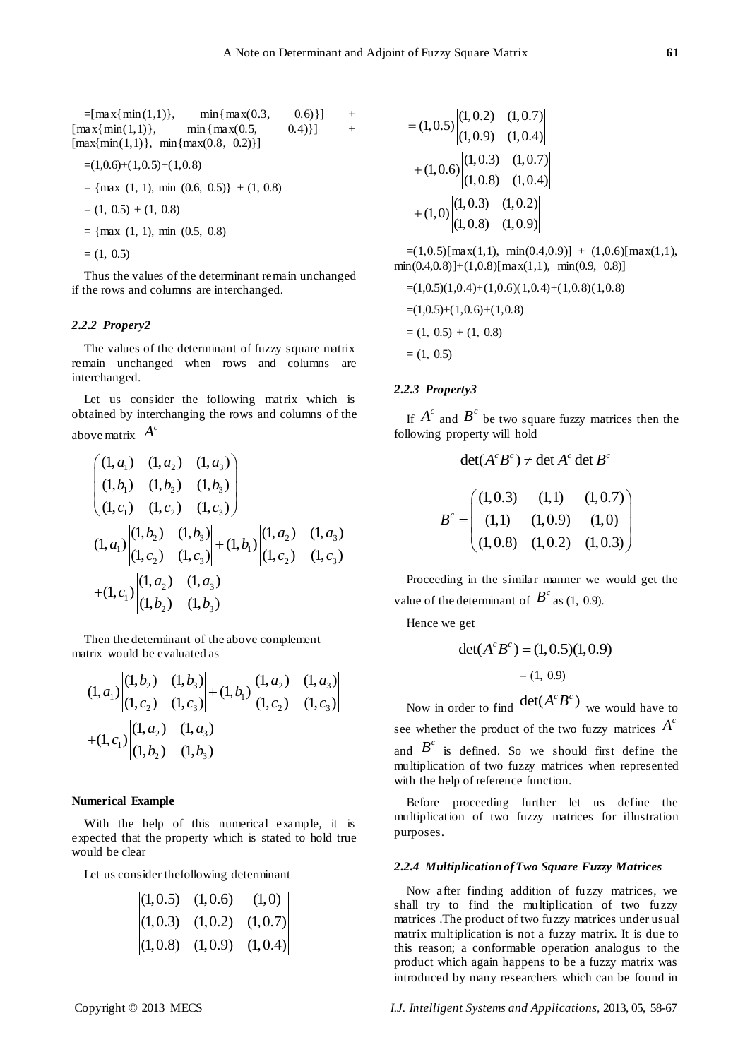| $=$ [max{min(1,1)},                                       | $min{max(0.3,$    | $[0.6]$ ] | $+$ |
|-----------------------------------------------------------|-------------------|-----------|-----|
| $\lceil \max\{\min(1,1)\},\right]$                        | $min \{ max(0.5,$ | $(0.4)$ } | $+$ |
| $\lceil \max\{\min(1,1)\},\ \min\{\max(0.8, 0.2)\}\rceil$ |                   |           |     |

$$
=(1,0.6)+(1,0.5)+(1,0.8)
$$

 $=$  {max (1, 1), min (0.6, 0.5)} + (1, 0.8)

$$
= (1, 0.5) + (1, 0.8)
$$

 $=$  {max (1, 1), min (0.5, 0.8)

 $= (1, 0.5)$ 

Thus the values of the determinant remain unchanged if the rows and columns are interchanged.

## *2.2.2 Propery2*

The values of the determinant of fuzzy square matrix remain unchanged when rows and columns are interchanged.

Let us consider the following matrix which is obtained by interchanging the rows and columns of the above matrix  $A^c$ 

$$
\begin{aligned}\n\text{We matrix} & A \\
& \begin{pmatrix} (1, a_1) & (1, a_2) & (1, a_3) \\ (1, b_1) & (1, b_2) & (1, b_3) \\ (1, c_1) & (1, c_2) & (1, c_3) \end{pmatrix} \\
& (1, a_1) \begin{vmatrix} (1, b_2) & (1, b_3) \\ (1, c_2) & (1, c_3) \end{vmatrix} + (1, b_1) \begin{vmatrix} (1, a_2) & (1, a_3) \\ (1, c_2) & (1, c_3) \end{vmatrix} \\
& \quad + (1, c_1) \begin{vmatrix} (1, a_2) & (1, a_3) \\ (1, b_2) & (1, b_3) \end{vmatrix}\n\end{aligned}
$$

Then the determinant of the above complement matrix would be evaluated as

trix would be evaluated as  
\n
$$
(1, a_1) \begin{vmatrix} (1, b_2) & (1, b_3) \\ (1, c_2) & (1, c_3) \end{vmatrix} + (1, b_1) \begin{vmatrix} (1, a_2) & (1, a_3) \\ (1, c_2) & (1, c_3) \end{vmatrix}
$$
\n
$$
+(1, c_1) \begin{vmatrix} (1, a_2) & (1, a_3) \\ (1, b_2) & (1, b_3) \end{vmatrix}
$$

#### **Numerical Example**

With the help of this numerical example, it is expected that the property which is stated to hold true would be clear

Let us consider thefollowing determinant

$$
\begin{vmatrix} (1,0.5) & (1,0.6) & (1,0) \\ (1,0.3) & (1,0.2) & (1,0.7) \\ (1,0.8) & (1,0.9) & (1,0.4) \end{vmatrix}
$$

$$
= (1, 0.5) \begin{vmatrix} (1, 0.2) & (1, 0.7) \\ (1, 0.9) & (1, 0.4) \end{vmatrix}
$$

$$
+ (1, 0.6) \begin{vmatrix} (1, 0.3) & (1, 0.7) \\ (1, 0.8) & (1, 0.4) \end{vmatrix}
$$

$$
+ (1, 0) \begin{vmatrix} (1, 0.3) & (1, 0.2) \\ (1, 0.8) & (1, 0.9) \end{vmatrix}
$$

 $=(1,0.5)[\max(1,1), \min(0.4,0.9)] + (1,0.6)[\max(1,1),$  $min(0.4, 0.8)] + (1, 0.8)[max(1,1), min(0.9, 0.8)]$ 

$$
=(1,0.5)(1,0.4)+(1,0.6)(1,0.4)+(1,0.8)(1,0.8)
$$
  

$$
=(1,0.5)+(1,0.6)+(1,0.8)
$$
  

$$
=(1, 0.5) + (1, 0.8)
$$
  

$$
=(1, 0.5)
$$

#### *2.2.3 Property3*

If  $A^c$  and  $B^c$  be two square fuzzy matrices then the following property will hold

$$
\det(A^c B^c) \neq \det A^c \det B^c
$$
  

$$
B^c = \begin{pmatrix} (1,0.3) & (1,1) & (1,0.7) \\ (1,1) & (1,0.9) & (1,0) \\ (1,0.8) & (1,0.2) & (1,0.3) \end{pmatrix}
$$

Proceeding in the similar manner we would get the value of the determinant of  $B^c$  as (1, 0.9).

Hence we get

$$
det(Ac Bc) = (1, 0.5)(1, 0.9)
$$
  
= (1, 0.9)

Now in order to find  $\det(A^c B^c)$  we would have to see whether the product of the two fuzzy matrices  $A^c$ 

and  $B<sup>c</sup>$  is defined. So we should first define the multiplication of two fuzzy matrices when represented with the help of reference function.

Before proceeding further let us define the multiplication of two fuzzy matrices for illustration purposes.

#### *2.2.4 Multiplication of Two Square Fuzzy Matrices*

Now after finding addition of fuzzy matrices, we shall try to find the multiplication of two fuzzy matrices .The product of two fuzzy matrices under usual matrix multiplication is not a fuzzy matrix. It is due to this reason; a conformable operation analogus to the product which again happens to be a fuzzy matrix was introduced by many researchers which can be found in

Copyright © 2013 MECS *I.J. Intelligent Systems and Applications,* 2013, 05, 58-67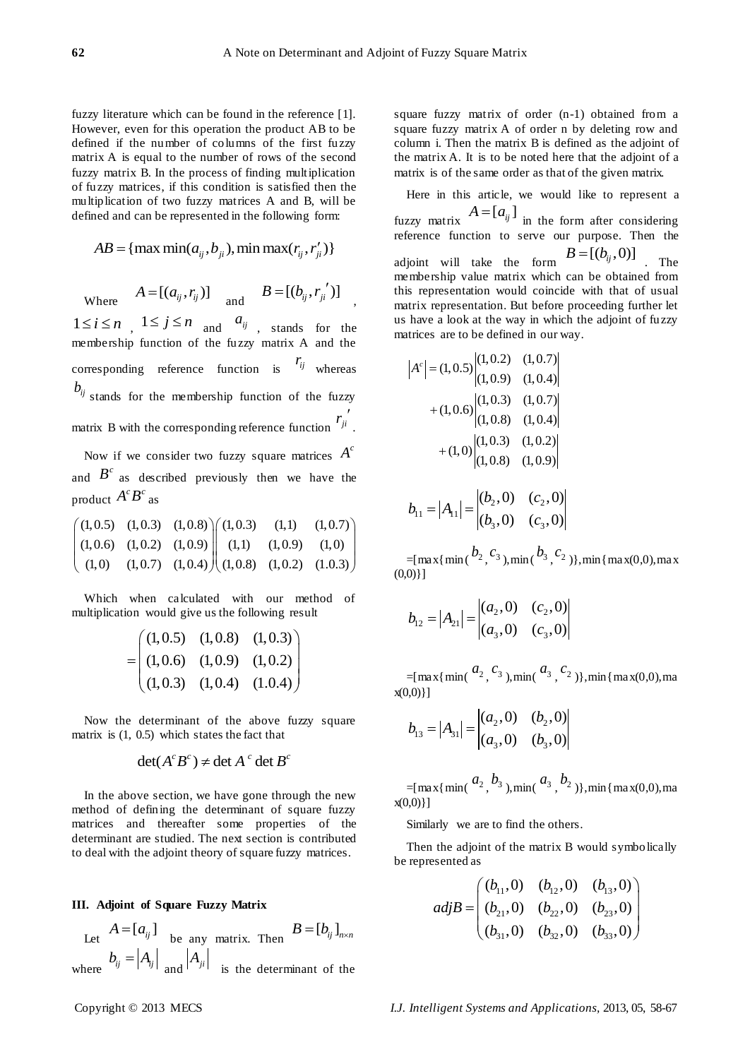,

fuzzy literature which can be found in the reference [1]. However, even for this operation the product AB to be defined if the number of columns of the first fuzzy matrix A is equal to the number of rows of the second fuzzy matrix B. In the process of finding multiplication of fuzzy matrices, if this condition is satisfied then the multiplication of two fuzzy matrices A and B, will be defined and can be represented in the following form:

$$
AB = \{ \max \min(a_{ij}, b_{ji}), \min \max(r_{ij}, r'_{ji}) \}
$$

Where  $A = [(a_{ij}, r_{ij})]$  and  $B = [(b_{ij}, r_{ji}^{\'})]$ 

 $1 \le i \le n$ ,  $1 \le j \le n$  and  $a_{ij}$ , stands for the membership function of the fuzzy matrix A and the corresponding reference function is  $r_{ij}$  whereas  $b_{ij}$  stands for the membership function of the fuzzy matrix B with the corresponding reference function  $r_{ji}^{\prime}$ .

Now if we consider two fuzzy square matrices  $A^c$ and  $B<sup>c</sup>$  as described previously then we have the product  $A^c B^c$  as

product 
$$
A^c B^c
$$
 as  
\n $\begin{pmatrix} (1,0.5) & (1,0.3) & (1,0.8) \\ (1,0.6) & (1,0.2) & (1,0.9) \\ (1,0) & (1,0.7) & (1,0.4) \end{pmatrix} \begin{pmatrix} (1,0.3) & (1,1) & (1,0.7) \\ (1,1) & (1,0.9) & (1,0) \\ (1,0.8) & (1,0.2) & (1.0.3) \end{pmatrix}$ 

Which when calculated with our method of multiplication would give us the following result

$$
= \begin{pmatrix} (1,0.5) & (1,0.8) & (1,0.3) \\ (1,0.6) & (1,0.9) & (1,0.2) \\ (1,0.3) & (1,0.4) & (1.0.4) \end{pmatrix}
$$

Now the determinant of the above fuzzy square matrix is (1, 0.5) which states the fact that

$$
\det(A^c B^c) \neq \det A^c \det B^c
$$

In the above section, we have gone through the new method of defining the determinant of square fuzzy matrices and thereafter some properties of the determinant are studied. The next section is contributed to deal with the adjoint theory of square fuzzy matrices.

#### **III. Adjoint of Square Fuzzy Matrix**

Let  $A = [a_{ij}]$  be any matrix. Then  $B = [b_{ij}]_{n \times n}$ where  $b_{ij} = |A_{ij}|$  and  $|A_{ji}|$  is the determinant of the square fuzzy matrix of order (n-1) obtained from a square fuzzy matrix A of order n by deleting row and column i. Then the matrix B is defined as the adjoint of the matrix A. It is to be noted here that the adjoint of a matrix is of the same order as that of the given matrix.

Here in this article, we would like to represent a fuzzy matrix  $A = [a_{ij}]$  in the form after considering reference function to serve our purpose. Then the adjoint will take the form  $B = [(b_{ij}, 0)]$  The membership value matrix which can be obtained from this representation would coincide with that of usual matrix representation. But before proceeding further let us have a look at the way in which the adjoint of fuzzy matrices are to be defined in our way.

$$
|A^{c}| = (1, 0.5) \begin{vmatrix} (1, 0.2) & (1, 0.7) \\ (1, 0.9) & (1, 0.4) \end{vmatrix}
$$
  
+ (1, 0.6)  $\begin{vmatrix} (1, 0.3) & (1, 0.7) \\ (1, 0.8) & (1, 0.4) \end{vmatrix}$   
+ (1, 0)  $\begin{vmatrix} (1, 0.3) & (1, 0.2) \\ (1, 0.8) & (1, 0.9) \end{vmatrix}$ 

$$
b_{11} = |A_{11}| = \begin{vmatrix} (b_2, 0) & (c_2, 0) \\ (b_3, 0) & (c_3, 0) \end{vmatrix}
$$

 $=[\max\{\min(\frac{b_2}{c_3}, \frac{c_3}{c_1}),\min(\frac{b_3}{c_2})\}, \min\{\max(0,0),\max(0,1)\}]$  $(0,0)$ ]

$$
b_{12} = |A_{21}| = \begin{vmatrix} (a_2, 0) & (c_2, 0) \\ (a_3, 0) & (c_3, 0) \end{vmatrix}
$$

 $=[\max{\{min(\frac{a_2}{s_3}, \frac{c_3}{s_1})}, \min(\frac{a_3}{s_2}, \frac{c_2}{s_3})\}, \min{\{max(0,0), \max(0,0)\}}]$ x(0,0)}]

$$
b_{13} = |A_{31}| = \begin{vmatrix} (a_2, 0) & (b_2, 0) \\ (a_3, 0) & (b_3, 0) \end{vmatrix}
$$

 $=[\max{\min({\frac{a_2}{b_3}}, \frac{b_3}{b_1})}, \min({\frac{a_3}{b_2}})]$ , min{max(0,0), ma x(0,0)}]

Similarly we are to find the others.

Then the adjoint of the matrix B would symbolically be represented as

$$
adjB = \begin{pmatrix} (b_{11}, 0) & (b_{12}, 0) & (b_{13}, 0) \\ (b_{21}, 0) & (b_{22}, 0) & (b_{23}, 0) \\ (b_{31}, 0) & (b_{32}, 0) & (b_{33}, 0) \end{pmatrix}
$$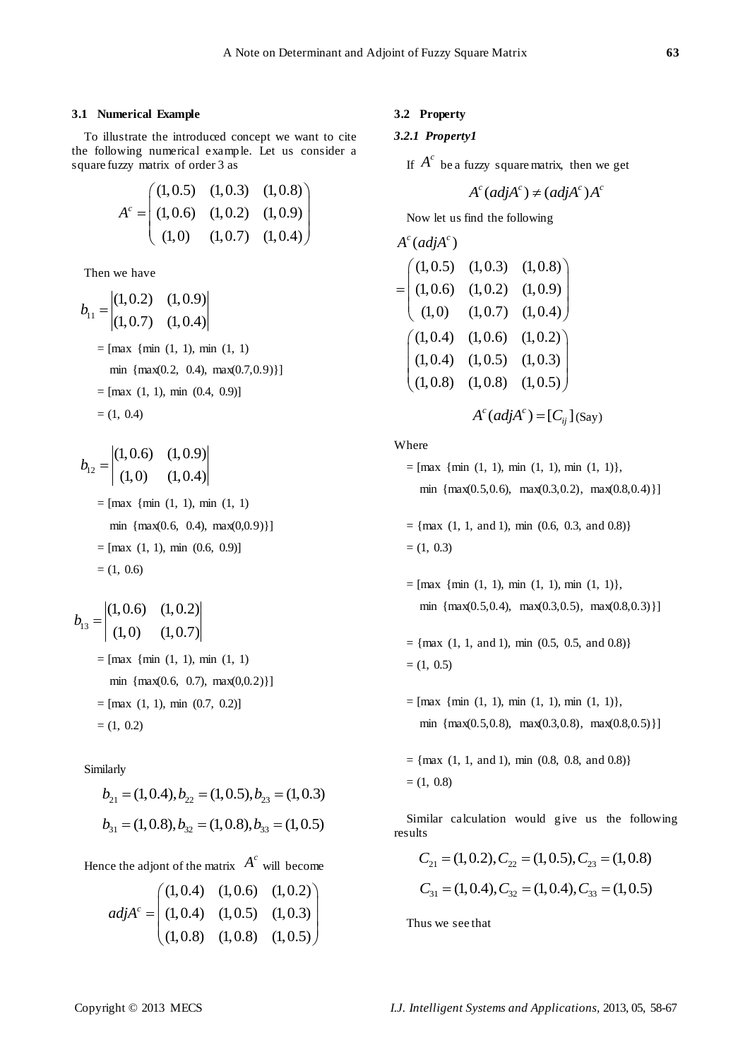#### **3.1 Numerical Example**

To illustrate the introduced concept we want to cite the following numerical example. Let us consider a square fuzzy matrix of order 3 as

$$
A^{c} = \begin{pmatrix} (1,0.5) & (1,0.3) & (1,0.8) \\ (1,0.6) & (1,0.2) & (1,0.9) \\ (1,0) & (1,0.7) & (1,0.4) \end{pmatrix}
$$

Then we have

$$
b_{11} = \begin{vmatrix} (1, 0.2) & (1, 0.9) \\ (1, 0.7) & (1, 0.4) \end{vmatrix}
$$
  
= [max {min (1, 1), min (1, 1)  
min {max(0.2, 0.4), max(0.7, 0.9)}}]  
= [max (1, 1), min (0.4, 0.9)]  
= (1, 0.4)

$$
b_{12} = \begin{vmatrix} (1,0.6) & (1,0.9) \\ (1,0) & (1,0.4) \end{vmatrix}
$$
  
= [max {min (1, 1), min (1, 1)  
min {max(0.6, 0.4), max(0,0.9)}}]  
= [max (1, 1), min (0.6, 0.9)]  
= (1, 0.6)

$$
b_{13} = \begin{vmatrix} (1, 0.6) & (1, 0.2) \\ (1, 0) & (1, 0.7) \end{vmatrix}
$$
  
= [max {min (1, 1), min (1, 1)  
min {max(0.6, 0.7), max(0,0.2)}]  
= [max (1, 1), min (0.7, 0.2)]  
= (1, 0.2)

Similarly

$$
b_{21} = (1, 0.4), b_{22} = (1, 0.5), b_{23} = (1, 0.3)
$$
  

$$
b_{31} = (1, 0.8), b_{32} = (1, 0.8), b_{33} = (1, 0.5)
$$

Hence the adjont of the matrix 
$$
A^c
$$
 will become  
\n
$$
adj A^c = \begin{pmatrix} (1,0.4) & (1,0.6) & (1,0.2) \\ (1,0.4) & (1,0.5) & (1,0.3) \\ (1,0.8) & (1,0.8) & (1,0.5) \end{pmatrix}
$$

# **3.2 Property**

# *3.2.1 Property1*

If  $A^c$  be a fuzzy square matrix, then we get

$$
A^c(\text{adj}A^c) \neq (\text{adj}A^c)A^c
$$

Now let us find the following

$$
A^{c}(adj A^{c})
$$
\n
$$
= \begin{pmatrix} (1,0.5) & (1,0.3) & (1,0.8) \\ (1,0.6) & (1,0.2) & (1,0.9) \\ (1,0) & (1,0.7) & (1,0.4) \end{pmatrix}
$$
\n
$$
= \begin{pmatrix} (1,0.4) & (1,0.6) & (1,0.2) \\ (1,0.4) & (1,0.5) & (1,0.3) \\ (1,0.8) & (1,0.8) & (1,0.5) \end{pmatrix}
$$
\n
$$
A^{c}(adj A^{c}) = [C_{ij}] (say)
$$

Where

$$
= [\max \{ \min (1, 1), \min (1, 1), \min (1, 1) \},
$$
  
min 
$$
\{ \max(0.5, 0.6), \max(0.3, 0.2), \max(0.8, 0.4) \} ]
$$

 $=$  {max (1, 1, and 1), min (0.6, 0.3, and 0.8)}  $= (1, 0.3)$ 

- $=[\text{max } \{\text{min } (1, 1), \text{min } (1, 1), \text{min } (1, 1)\},$ min {max(0.5,0.4), max(0.3,0.5), max(0.8,0.3)}]
- $=$  {max (1, 1, and 1), min (0.5, 0.5, and 0.8)}  $= (1, 0.5)$
- $=[\max \{ \min (1, 1), \min (1, 1), \min (1, 1) \},$ min {max(0.5,0.8), max(0.3,0.8), max(0.8,0.5)}]
- $=$  {max (1, 1, and 1), min (0.8, 0.8, and 0.8)}  $= (1, 0.8)$

Similar calculation would give us the following results

ts  
\n
$$
C_{21} = (1, 0.2), C_{22} = (1, 0.5), C_{23} = (1, 0.8)
$$
  
\n $C_{31} = (1, 0.4), C_{32} = (1, 0.4), C_{33} = (1, 0.5)$ 

Thus we see that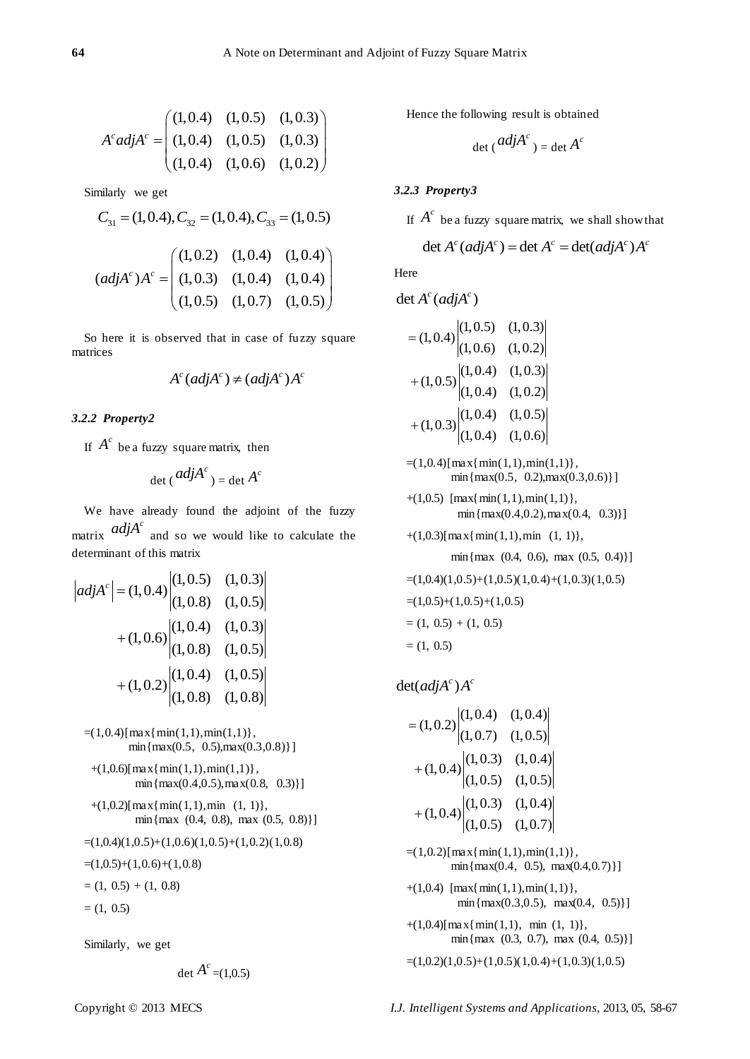$$
A^{c}adjA^{c} = \begin{pmatrix} (1,0.4) & (1,0.5) & (1,0.3) \\ (1,0.4) & (1,0.5) & (1,0.3) \\ (1,0.4) & (1,0.6) & (1,0.2) \end{pmatrix}
$$

Similarly we get

imilarly we get  
\n
$$
C_{31} = (1, 0.4), C_{32} = (1, 0.4), C_{33} = (1, 0.5)
$$
\n
$$
(adiAc)Ac = \begin{pmatrix} (1, 0.2) & (1, 0.4) & (1, 0.4) \\ (1, 0.3) & (1, 0.4) & (1, 0.4) \end{pmatrix}
$$

$$
(adj Ac)Ac = \begin{pmatrix} (1,0.2) & (1,0.4) & (1,0.4) \\ (1,0.3) & (1,0.4) & (1,0.4) \\ (1,0.5) & (1,0.7) & (1,0.5) \end{pmatrix}
$$

So here it is observed that in case of fuzzy square matrices

$$
A^c(\text{adj}A^c) \neq (\text{adj}A^c)A^c
$$

# *3.2.2 Property2*

If  $A^c$  be a fuzzy square matrix, then

$$
\det (adj A^c) = \det A^c
$$

We have already found the adjoint of the fuzzy matrix  $adjA<sup>c</sup>$  and so we would like to calculate the determinant of this matrix

$$
|adjAc| = (1,0.4) \begin{vmatrix} (1,0.5) & (1,0.3) \\ (1,0.8) & (1,0.5) \end{vmatrix}
$$
  
+ (1,0.6) \begin{vmatrix} (1,0.4) & (1,0.3) \\ (1,0.8) & (1,0.5) \end{vmatrix}  
+ (1,0.2) \begin{vmatrix} (1,0.4) & (1,0.5) \\ (1,0.8) & (1,0.8) \end{vmatrix}

 $=$ (1,0.4)[max{min(1,1),min(1,1)},  $min{max(0.5, 0.5), max(0.3, 0.8)}$ 

 $+(1,0.6)$ [max{min(1,1),min(1,1)}, min ${max(0.4, 0.5), max(0.8, 0.3)}$ 

- $+(1,0.2)$ [max{min(1,1),min (1, 1)}, min{max (0.4, 0.8), max (0.5, 0.8)}]
- $=(1,0.4)(1,0.5)+(1,0.6)(1,0.5)+(1,0.2)(1,0.8)$

 $=(1,0.5)+(1,0.6)+(1,0.8)$ 

 $=(1, 0.5) + (1, 0.8)$ 

 $= (1, 0.5)$ 

Similarly, we get

$$
\det A^{c} = (1, 0.5)
$$

Hence the following result is obtained

$$
\det (adj A^c) = \det A^c
$$

# *3.2.3 Property3*

If  $A^c$  be a fuzzy square matrix, we shall show that<br>det  $A^c (adj A^c) = det A^c = det(adj A^c) A^c$ 

$$
\det A^c (adj A^c) = \det A^c = \det (adj A^c) A^c
$$

Here

$$
\det A^c(\text{adj}A^c)
$$

$$
= (1, 0.4) \begin{vmatrix} (1, 0.5) & (1, 0.3) \\ (1, 0.6) & (1, 0.2) \end{vmatrix}
$$

$$
+ (1, 0.5) \begin{vmatrix} (1, 0.4) & (1, 0.3) \\ (1, 0.4) & (1, 0.2) \end{vmatrix}
$$

$$
+ (1, 0.3) \begin{vmatrix} (1, 0.4) & (1, 0.5) \\ (1, 0.4) & (1, 0.6) \end{vmatrix}
$$

 $=(1,0.4)$ [max{min(1,1),min(1,1)},  $min{max(0.5, 0.2), max(0.3, 0.6)}$ 

- $+(1,0.5)$  [max{min(1,1),min(1,1)},  $min{max(0.4, 0.2), max(0.4, 0.3)}$
- $+(1,0.3)$ [max{min(1,1),min (1, 1)},

min{max (0.4, 0.6), max (0.5, 0.4)}]

$$
=(1,0.4)(1,0.5)+(1,0.5)(1,0.4)+(1,0.3)(1,0.5)
$$
  

$$
=(1,0.5)+(1,0.5)+(1,0.5)
$$
  

$$
=(1, 0.5) + (1, 0.5)
$$

$$
=(1, 0.5)
$$

 $det(adj A^c) A^c$ 

$$
= (1,0.2) \begin{vmatrix} (1,0.4) & (1,0.4) \\ (1,0.7) & (1,0.5) \end{vmatrix}
$$

$$
+ (1,0.4) \begin{vmatrix} (1,0.3) & (1,0.4) \\ (1,0.5) & (1,0.5) \end{vmatrix}
$$

$$
+ (1,0.4) \begin{vmatrix} (1,0.3) & (1,0.4) \\ (1,0.5) & (1,0.7) \end{vmatrix}
$$

 $=(1,0.2)$ [max{min(1,1),min(1,1)},  $min{max(0.4, 0.5), max(0.4, 0.7)}$ 

+ $(1,0.4)$  [max{ min(1,1), min(1,1)},  $min{max(0.3, 0.5), max(0.4, 0.5)}$ 

 $+(1,0.4)$ [max{min(1,1), min (1, 1)}, min{max (0.3, 0.7), max (0.4, 0.5)}]

# $=(1,0.2)(1,0.5)+(1,0.5)(1,0.4)+(1,0.3)(1,0.5)$

Copyright © 2013 MECS *I.J. Intelligent Systems and Applications,* 2013, 05, 58-67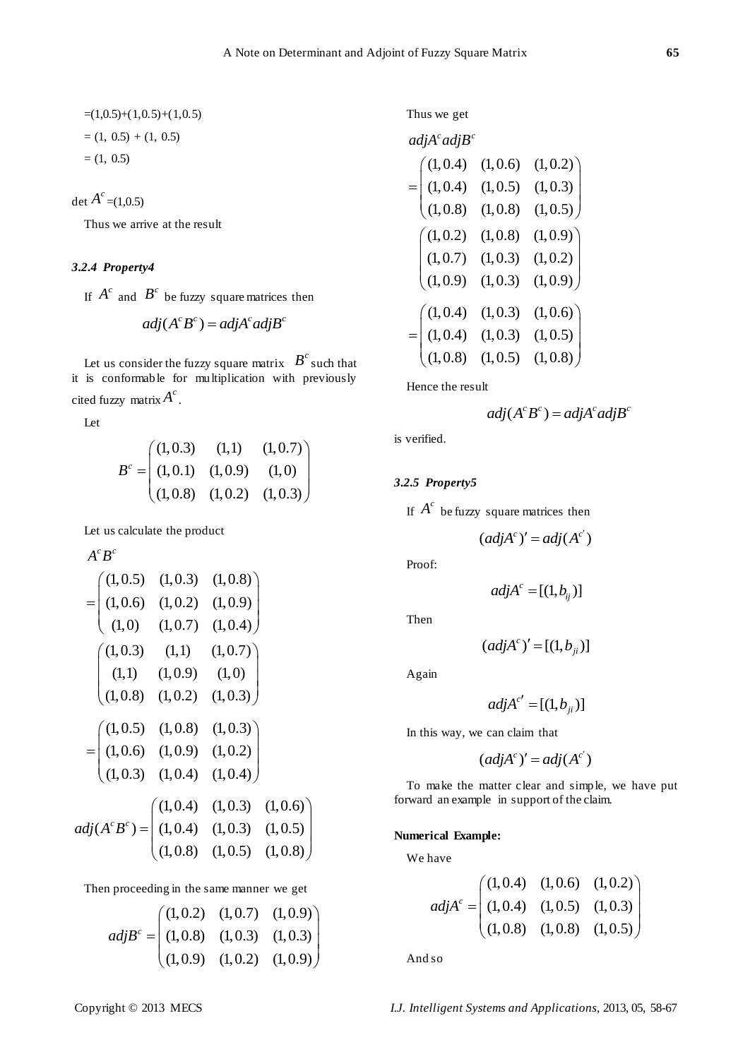$$
=(1,0.5)+(1,0.5)+(1,0.5)
$$
  
= (1, 0.5) + (1, 0.5)  
= (1, 0.5)

det  $A^c$  =(1,0.5)

Thus we arrive at the result

# *3.2.4 Property4*

If  $A^c$  and  $B^c$  be fuzzy square matrices then

$$
adj(A^c B^c) = adj A^c adj B^c
$$

Let us consider the fuzzy square matrix  $B^c$  such that it is conformable for multiplication with previously cited fuzzy matrix  $A^c$ .

Let

 $A^c$  **D** $^c$ 

$$
B^{c} = \begin{pmatrix} (1,0.3) & (1,1) & (1,0.7) \\ (1,0.1) & (1,0.9) & (1,0) \\ (1,0.8) & (1,0.2) & (1,0.3) \end{pmatrix}
$$

Let us calculate the product

$$
A B
$$
\n
$$
= \begin{pmatrix}\n(1,0.5) & (1,0.3) & (1,0.8) \\
(1,0.6) & (1,0.2) & (1,0.9) \\
(1,0) & (1,0.7) & (1,0.4)\n\end{pmatrix}
$$
\n
$$
\begin{pmatrix}\n(1,0.3) & (1,1) & (1,0.7) \\
(1,1) & (1,0.9) & (1,0) \\
(1,0.8) & (1,0.2) & (1,0.3)\n\end{pmatrix}
$$
\n
$$
= \begin{pmatrix}\n(1,0.5) & (1,0.8) & (1,0.3) \\
(1,0.6) & (1,0.9) & (1,0.2) \\
(1,0.3) & (1,0.4) & (1,0.4)\n\end{pmatrix}
$$
\n*adj*( $A^c B^c$ ) = 
$$
\begin{pmatrix}\n(1,0.4) & (1,0.3) & (1,0.6) \\
(1,0.4) & (1,0.3) & (1,0.5) \\
(1,0.8) & (1,0.5) & (1,0.8)\n\end{pmatrix}
$$

Then proceeding in the same manner we get  
\n
$$
adj Bc = \begin{pmatrix} (1,0.2) & (1,0.7) & (1,0.9) \\ (1,0.8) & (1,0.3) & (1,0.3) \\ (1,0.9) & (1,0.2) & (1,0.9) \end{pmatrix}
$$

Thus we get

| adj $A^c$ adj $B^c$                                            |                                                               |          |                          |
|----------------------------------------------------------------|---------------------------------------------------------------|----------|--------------------------|
|                                                                |                                                               | (1, 0.6) | (1, 0.2)                 |
| $=\begin{pmatrix} (1,0.4) \\ (1,0.4) \\ (1,0.8) \end{pmatrix}$ |                                                               | (1, 0.5) | (1, 0.3)                 |
|                                                                |                                                               | (1, 0.8) | (1, 0.5)                 |
|                                                                |                                                               | (1, 0.8) | (1, 0.9)                 |
|                                                                | $\begin{pmatrix} (1,0.2) \\ (1,0.7) \\ (1,0.9) \end{pmatrix}$ | (1, 0.3) | $(1,0.2)$<br>$(1,0.9)$   |
|                                                                |                                                               | (1, 0.3) |                          |
|                                                                |                                                               | (1, 0.3) |                          |
| $=\begin{pmatrix} (1,0.4) \\ (1,0.4) \\ (1,0.8) \end{pmatrix}$ |                                                               | (1, 0.3) | $(1, 0.6)$<br>$(1, 0.5)$ |
|                                                                |                                                               | (1, 0.5) | (1, 0.8)                 |
|                                                                |                                                               |          |                          |

Hence the result

$$
adj(A^c B^c) = adj A^c adj B^c
$$

is verified.

# *3.2.5 Property5*

If  $A^c$  be fuzzy square matrices then

$$
(adj A^c)' = adj(A^{c'})
$$

Proof:

$$
adj A^c = [(1, b_{ij})]
$$

Then

$$
(adj Ac)' = [(1, bji)]
$$

Again

$$
adj A^{c'} = [(1, b_{ji})]
$$

In this way, we can claim that

$$
(adj A^c)' = adj(A^{c'})
$$

To make the matter clear and simple, we have put forward an example in support of the claim.

## **Numerical Example:**

We have

$$
adj Ac = \begin{pmatrix} (1,0.4) & (1,0.6) & (1,0.2) \\ (1,0.4) & (1,0.5) & (1,0.3) \\ (1,0.8) & (1,0.8) & (1,0.5) \end{pmatrix}
$$

And so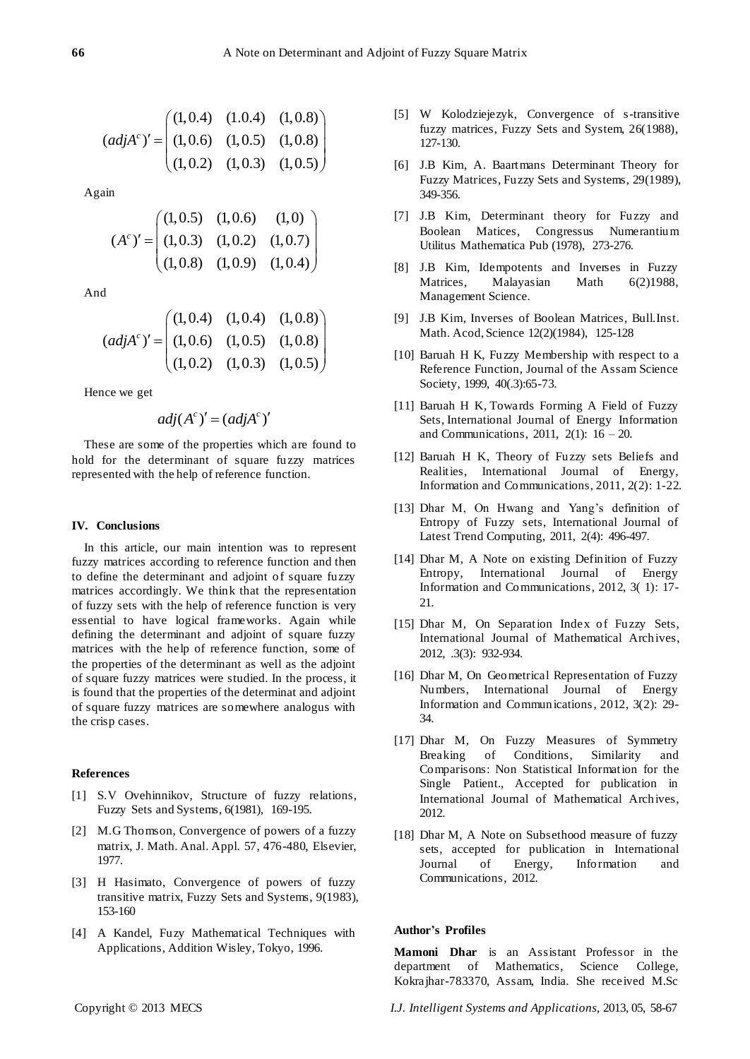$$
(adj Ac)' = \begin{pmatrix} (1,0.4) & (1.0.4) & (1,0.8) \\ (1,0.6) & (1,0.5) & (1,0.8) \\ (1,0.2) & (1,0.3) & (1,0.5) \end{pmatrix}
$$

Again

$$
(Ac)' = \begin{pmatrix} (1,0.5) & (1,0.6) & (1,0) \\ (1,0.3) & (1,0.2) & (1,0.7) \\ (1,0.8) & (1,0.9) & (1,0.4) \end{pmatrix}
$$

And

$$
(adj Ac)' = \begin{pmatrix} (1,0.4) & (1,0.4) & (1,0.8) \\ (1,0.6) & (1,0.5) & (1,0.8) \\ (1,0.2) & (1,0.3) & (1,0.5) \end{pmatrix}
$$

Hence we get

$$
adj(A^c)' = (adjA^c)'
$$

These are some of the properties which are found to hold for the determinant of square fuzzy matrices represented with the help of reference function.

#### **IV. Conclusions**

In this article, our main intention was to represent fuzzy matrices according to reference function and then to define the determinant and adjoint of square fuzzy matrices accordingly. We think that the representation of fuzzy sets with the help of reference function is very essential to have logical frameworks. Again while defining the determinant and adjoint of square fuzzy matrices with the help of reference function, some of the properties of the determinant as well as the adjoint of square fuzzy matrices were studied. In the process, it is found that the properties of the determinat and adjoint of square fuzzy matrices are somewhere analogus with the crisp cases.

#### **References**

- [1] S.V Ovehinnikov, Structure of fuzzy relations, Fuzzy Sets and Systems, 6(1981), 169-195.
- [2] M.G Thomson, Convergence of powers of a fuzzy matrix, J. Math. Anal. Appl. 57, 476-480, Elsevier, 1977.
- [3] H Hasimato, Convergence of powers of fuzzy transitive matrix, Fuzzy Sets and Systems, 9(1983), 153-160
- [4] A Kandel, Fuzy Mathematical Techniques with Applications, Addition Wisley, Tokyo, 1996.
- [5] W Kolodziejezyk, Convergence of s-transitive fuzzy matrices, Fuzzy Sets and System, 26(1988), 127-130.
- [6] J.B Kim, A. Baartmans Determinant Theory for Fuzzy Matrices, Fuzzy Sets and Systems, 29(1989), 349-356.
- [7] J.B Kim, Determinant theory for Fuzzy and Boolean Matices, Congressus Numerantium Utilitus Mathematica Pub (1978), 273-276.
- [8] J.B Kim, Idempotents and Inverses in Fuzzy Matrices, Malayasian Math 6(2)1988, Management Science.
- [9] J.B Kim, Inverses of Boolean Matrices, Bull.Inst. Math. Acod, Science 12(2)(1984), 125-128
- [10] Baruah H K, Fuzzy Membership with respect to a Reference Function, Journal of the Assam Science Society, 1999, 40(.3):65-73.
- [11] Baruah H K, Towards Forming A Field of Fuzzy Sets, International Journal of Energy Information and Communications, 2011, 2(1):  $16 - 20$ .
- [12] Baruah H K, Theory of Fuzzy sets Beliefs and Realities, International Journal of Energy, Information and Communications, 2011, 2(2): 1-22.
- [13] Dhar M, On Hwang and Yang's definition of Entropy of Fuzzy sets, International Journal of Latest Trend Computing, 2011, 2(4): 496-497.
- [14] Dhar M, A Note on existing Definition of Fuzzy Entropy, International Journal of Energy Information and Communications, 2012, 3( 1): 17- 21.
- [15] Dhar M, On Separation Index of Fuzzy Sets, International Journal of Mathematical Archives, 2012, .3(3): 932-934.
- [16] Dhar M, On Geometrical Representation of Fuzzy Numbers, International Journal of Energy Information and Communications, 2012, 3(2): 29- 34.
- [17] Dhar M, On Fuzzy Measures of Symmetry Breaking of Conditions, Similarity and Comparisons: Non Statistical Information for the Single Patient., Accepted for publication in International Journal of Mathematical Archives, 2012.
- [18] Dhar M, A Note on Subsethood measure of fuzzy sets, accepted for publication in International Journal of Energy, Information and Communications, 2012.

### **Author's Profiles**

**Mamoni Dhar** is an Assistant Professor in the department of Mathematics, Science College, Kokrajhar-783370, Assam, India. She received M.Sc

Copyright © 2013 MECS *I.J. Intelligent Systems and Applications,* 2013, 05, 58-67